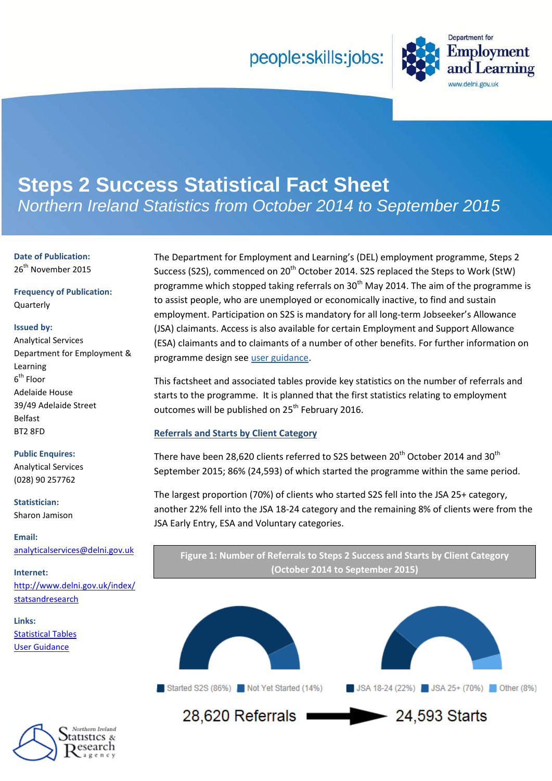# people:skills:jobs:



# **Steps 2 Success Statistical Fact Sheet** *Northern Ireland Statistics from October 2014 to September 2015*

**Date of Publication:** 26<sup>th</sup> November 2015

**Frequency of Publication:** Quarterly

#### **Issued by:**

Analytical Services Department for Employment & Learning  $6^{\text{th}}$  Floor Adelaide House 39/49 Adelaide Street Belfast BT2 8FD

#### **Public Enquires:**

Analytical Services (028) 90 257762

**Statistician:**

Sharon Jamison

**Email:** [analyticalservices@delni.gov.uk](mailto:analyticalservices@delni.gov.uk)

**Internet:** [http://www.delni.gov.uk/index/](http://www.delni.gov.uk/statsandresearch) statsandresearch

**Links:** [Statistical Tables](https://www.delni.gov.uk/publications/steps-2-success-statistical-factsheet-october-2014-september-2015) [User Guidance](https://www.delni.gov.uk/sites/default/files/publications/del/User%20Guidance%20-%20steps%202%20success%20factsheet%20nov%202015.pdf)



The Department for Employment and Learning's (DEL) employment programme, Steps 2 Success (S2S), commenced on 20<sup>th</sup> October 2014. S2S replaced the Steps to Work (StW) programme which stopped taking referrals on  $30<sup>th</sup>$  May 2014. The aim of the programme is to assist people, who are unemployed or economically inactive, to find and sustain employment. Participation on S2S is mandatory for all long-term Jobseeker's Allowance (JSA) claimants. Access is also available for certain Employment and Support Allowance (ESA) claimants and to claimants of a number of other benefits. For further information on programme design se[e user guidance.](https://www.delni.gov.uk/sites/default/files/publications/del/User%20Guidance%20-%20steps%202%20success%20factsheet%20nov%202015.pdf)

This factsheet and associated tables provide key statistics on the number of referrals and starts to the programme. It is planned that the first statistics relating to employment outcomes will be published on 25<sup>th</sup> February 2016.

### **Referrals and Starts by Client Category**

There have been 28,620 clients referred to S2S between 20<sup>th</sup> October 2014 and 30<sup>th</sup> September 2015; 86% (24,593) of which started the programme within the same period.

The largest proportion (70%) of clients who started S2S fell into the JSA 25+ category, another 22% fell into the JSA 18-24 category and the remaining 8% of clients were from the JSA Early Entry, ESA and Voluntary categories.

**Figure 1: Number of Referrals to Steps 2 Success and Starts by Client Category (October 2014 to September 2015)**





Started S2S (86%) Not Yet Started (14%)

28,620 Referrals  $\rightarrow$  24.593 Starts